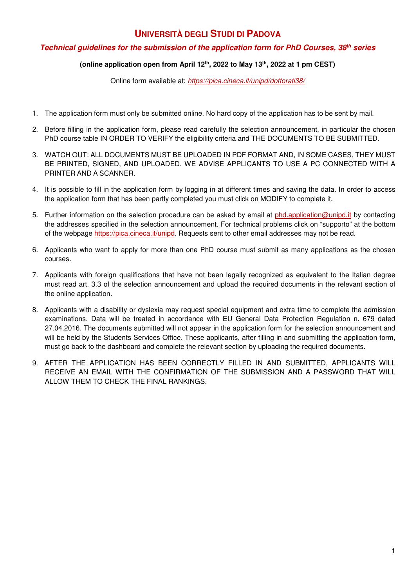# **UNIVERSITÀ DEGLI STUDI DI PADOVA**

# **Technical guidelines for the submission of the application form for PhD Courses, 38th series**

## **(online application open from April 12th, 2022 to May 13th, 2022 at 1 pm CEST)**

Online form available at: *https://pica.cineca.it/unipd/dottorati38/*

- 1. The application form must only be submitted online. No hard copy of the application has to be sent by mail.
- 2. Before filling in the application form, please read carefully the selection announcement, in particular the chosen PhD course table IN ORDER TO VERIFY the eligibility criteria and THE DOCUMENTS TO BE SUBMITTED.
- 3. WATCH OUT: ALL DOCUMENTS MUST BE UPLOADED IN PDF FORMAT AND, IN SOME CASES, THEY MUST BE PRINTED, SIGNED, AND UPLOADED. WE ADVISE APPLICANTS TO USE A PC CONNECTED WITH A PRINTER AND A SCANNER.
- 4. It is possible to fill in the application form by logging in at different times and saving the data. In order to access the application form that has been partly completed you must click on MODIFY to complete it.
- 5. Further information on the selection procedure can be asked by email at phd.application@unipd.it by contacting the addresses specified in the selection announcement. For technical problems click on "supporto" at the bottom of the webpage https://pica.cineca.it/unipd. Requests sent to other email addresses may not be read.
- 6. Applicants who want to apply for more than one PhD course must submit as many applications as the chosen courses.
- 7. Applicants with foreign qualifications that have not been legally recognized as equivalent to the Italian degree must read art. 3.3 of the selection announcement and upload the required documents in the relevant section of the online application.
- 8. Applicants with a disability or dyslexia may request special equipment and extra time to complete the admission examinations. Data will be treated in accordance with EU General Data Protection Regulation n. 679 dated 27.04.2016. The documents submitted will not appear in the application form for the selection announcement and will be held by the Students Services Office. These applicants, after filling in and submitting the application form, must go back to the dashboard and complete the relevant section by uploading the required documents.
- 9. AFTER THE APPLICATION HAS BEEN CORRECTLY FILLED IN AND SUBMITTED, APPLICANTS WILL RECEIVE AN EMAIL WITH THE CONFIRMATION OF THE SUBMISSION AND A PASSWORD THAT WILL ALLOW THEM TO CHECK THE FINAL RANKINGS.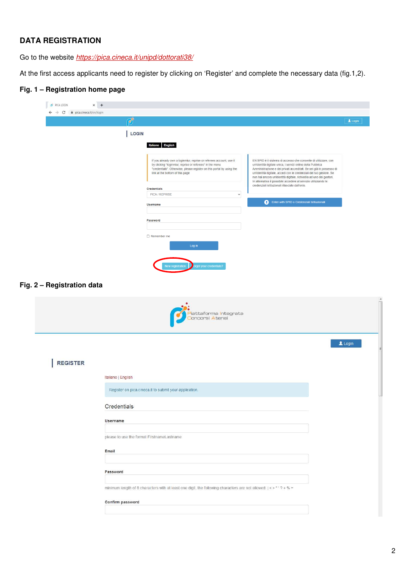# **DATA REGISTRATION**

Go to the website *https://pica.cineca.it/unipd/dottorati38/*

At the first access applicants need to register by clicking on 'Register' and complete the necessary data (fig.1,2).

# **Fig. 1 – Registration home page**

|                            | Ċ                  |                                                                                                                                                                                                                                             |                                                                                                                                                                                                                                                                                                                                                                                                                        | $\blacktriangle$ Login |
|----------------------------|--------------------|---------------------------------------------------------------------------------------------------------------------------------------------------------------------------------------------------------------------------------------------|------------------------------------------------------------------------------------------------------------------------------------------------------------------------------------------------------------------------------------------------------------------------------------------------------------------------------------------------------------------------------------------------------------------------|------------------------|
|                            | LOGIN              |                                                                                                                                                                                                                                             |                                                                                                                                                                                                                                                                                                                                                                                                                        |                        |
|                            |                    |                                                                                                                                                                                                                                             |                                                                                                                                                                                                                                                                                                                                                                                                                        |                        |
|                            |                    | Italiano English                                                                                                                                                                                                                            |                                                                                                                                                                                                                                                                                                                                                                                                                        |                        |
|                            |                    | If you already own a loginmiur, reprise or referees account, use it<br>by clicking "loginmiur, reprise or referees" in the menu<br>"credentials". Otherwise, please register on this portal by using the<br>link at the bottom of this page | EN SPID è il sistema di accesso che consente di utilizzare, con<br>un'identità digitale unica, i servizi online della Pubblica<br>Amministrazione e dei privati accreditati. Se sei già in possesso di<br>un'identità digitale, accedi con le credenziali del tuo gestore. Se<br>non hai ancora un'identità digitale, richiedila ad uno dei gestori.<br>In alternativa è possibile accedere al servizio utilizzando le |                        |
|                            |                    | <b>Credentials</b>                                                                                                                                                                                                                          | credenziali istituzionali rilasciate dall'ente.                                                                                                                                                                                                                                                                                                                                                                        |                        |
|                            |                    | PICA / REPRISE<br>$\checkmark$                                                                                                                                                                                                              | Enter with SPID o Credenziali Istituzionali                                                                                                                                                                                                                                                                                                                                                                            |                        |
|                            |                    | <b>Username</b>                                                                                                                                                                                                                             |                                                                                                                                                                                                                                                                                                                                                                                                                        |                        |
|                            |                    | Password                                                                                                                                                                                                                                    |                                                                                                                                                                                                                                                                                                                                                                                                                        |                        |
|                            |                    |                                                                                                                                                                                                                                             |                                                                                                                                                                                                                                                                                                                                                                                                                        |                        |
|                            |                    | $\Box$ Remember me                                                                                                                                                                                                                          |                                                                                                                                                                                                                                                                                                                                                                                                                        |                        |
|                            |                    | Log in                                                                                                                                                                                                                                      |                                                                                                                                                                                                                                                                                                                                                                                                                        |                        |
|                            |                    |                                                                                                                                                                                                                                             |                                                                                                                                                                                                                                                                                                                                                                                                                        |                        |
|                            |                    | prgot your credentials?<br>New registration                                                                                                                                                                                                 |                                                                                                                                                                                                                                                                                                                                                                                                                        |                        |
|                            |                    |                                                                                                                                                                                                                                             |                                                                                                                                                                                                                                                                                                                                                                                                                        |                        |
| Fig. 2 - Registration data |                    |                                                                                                                                                                                                                                             |                                                                                                                                                                                                                                                                                                                                                                                                                        |                        |
|                            |                    |                                                                                                                                                                                                                                             |                                                                                                                                                                                                                                                                                                                                                                                                                        |                        |
|                            |                    |                                                                                                                                                                                                                                             |                                                                                                                                                                                                                                                                                                                                                                                                                        |                        |
|                            |                    | <mark>P</mark> iattaforma <mark>I</mark> ntegrata<br><mark>C</mark> oncorsi Atenei                                                                                                                                                          |                                                                                                                                                                                                                                                                                                                                                                                                                        |                        |
|                            |                    |                                                                                                                                                                                                                                             |                                                                                                                                                                                                                                                                                                                                                                                                                        |                        |
|                            |                    |                                                                                                                                                                                                                                             |                                                                                                                                                                                                                                                                                                                                                                                                                        |                        |
|                            |                    |                                                                                                                                                                                                                                             |                                                                                                                                                                                                                                                                                                                                                                                                                        |                        |
| <b>REGISTER</b>            |                    |                                                                                                                                                                                                                                             |                                                                                                                                                                                                                                                                                                                                                                                                                        |                        |
|                            |                    |                                                                                                                                                                                                                                             |                                                                                                                                                                                                                                                                                                                                                                                                                        |                        |
|                            | Italiano   English |                                                                                                                                                                                                                                             |                                                                                                                                                                                                                                                                                                                                                                                                                        |                        |
|                            |                    | Register on pica.cineca.it to submit your application.                                                                                                                                                                                      |                                                                                                                                                                                                                                                                                                                                                                                                                        |                        |
|                            |                    |                                                                                                                                                                                                                                             |                                                                                                                                                                                                                                                                                                                                                                                                                        |                        |
|                            | Credentials        |                                                                                                                                                                                                                                             |                                                                                                                                                                                                                                                                                                                                                                                                                        |                        |
|                            | Username           |                                                                                                                                                                                                                                             |                                                                                                                                                                                                                                                                                                                                                                                                                        |                        |
|                            |                    |                                                                                                                                                                                                                                             |                                                                                                                                                                                                                                                                                                                                                                                                                        |                        |
|                            |                    | please to use the format FirstnameLastname                                                                                                                                                                                                  |                                                                                                                                                                                                                                                                                                                                                                                                                        |                        |
|                            | Email              |                                                                                                                                                                                                                                             |                                                                                                                                                                                                                                                                                                                                                                                                                        |                        |
|                            |                    |                                                                                                                                                                                                                                             |                                                                                                                                                                                                                                                                                                                                                                                                                        |                        |
|                            |                    |                                                                                                                                                                                                                                             |                                                                                                                                                                                                                                                                                                                                                                                                                        |                        |
|                            | Password           |                                                                                                                                                                                                                                             |                                                                                                                                                                                                                                                                                                                                                                                                                        |                        |
|                            |                    | minimum length of 8 characters with at least one digit, the following characters are not allowed: $  \lt $ > " ' ? + % =                                                                                                                    |                                                                                                                                                                                                                                                                                                                                                                                                                        | Login                  |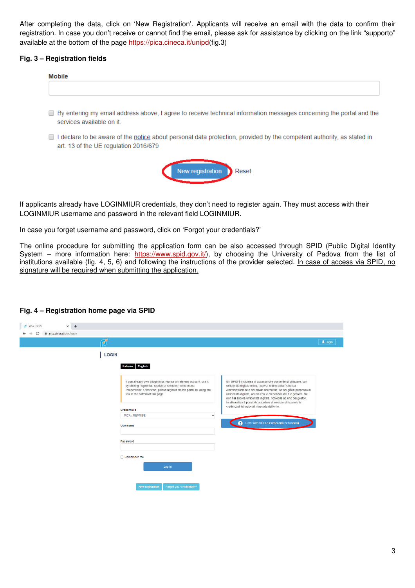After completing the data, click on 'New Registration'. Applicants will receive an email with the data to confirm their registration. In case you don't receive or cannot find the email, please ask for assistance by clicking on the link "supporto" available at the bottom of the page https://pica.cineca.it/unipd(fig.3)

### **Fig. 3 – Registration fields**

| <b>Mobile</b>                                                                                                                                      |
|----------------------------------------------------------------------------------------------------------------------------------------------------|
|                                                                                                                                                    |
| ■ By entering my email address above, I agree to receive technical information messages concerning the portal and the<br>services available on it. |
| $\Box$ I declare to be aware of the notice about nomenal data protection, provided by the compatent outbority, as otated in                        |

 $\Box$  I declare to be aware of the <u>notice</u> about personal data protection, provided by the competent authority, as stated in art. 13 of the UE regulation 2016/679



If applicants already have LOGINMIUR credentials, they don't need to register again. They must access with their LOGINMIUR username and password in the relevant field LOGINMIUR.

In case you forget username and password, click on 'Forgot your credentials?'

The online procedure for submitting the application form can be also accessed through SPID (Public Digital Identity System – more information here: https://www.spid.gov.it/), by choosing the University of Padova from the list of institutions available (fig. 4, 5, 6) and following the instructions of the provider selected. In case of access via SPID, no signature will be required when submitting the application.

#### **Fig. 4 – Registration home page via SPID**

| $x +$<br>PICA LOGIN     |               |                                                                                                                                                                                                                                             |             |                                                                                                                                                                                                                                                                                                                                                                                                                        |       |
|-------------------------|---------------|---------------------------------------------------------------------------------------------------------------------------------------------------------------------------------------------------------------------------------------------|-------------|------------------------------------------------------------------------------------------------------------------------------------------------------------------------------------------------------------------------------------------------------------------------------------------------------------------------------------------------------------------------------------------------------------------------|-------|
| pica.cineca.it/en/login |               |                                                                                                                                                                                                                                             |             |                                                                                                                                                                                                                                                                                                                                                                                                                        |       |
|                         | <b>CANADA</b> |                                                                                                                                                                                                                                             |             |                                                                                                                                                                                                                                                                                                                                                                                                                        | Login |
|                         | LOGIN         | Italiano English                                                                                                                                                                                                                            |             |                                                                                                                                                                                                                                                                                                                                                                                                                        |       |
|                         |               | If you already own a loginmiur, reprise or referees account, use it<br>by clicking "loginmiur, reprise or referees" in the menu<br>"credentials". Otherwise, please register on this portal by using the<br>link at the bottom of this page |             | EN SPID è il sistema di accesso che consente di utilizzare, con<br>un'identità digitale unica, i servizi online della Pubblica<br>Amministrazione e dei privati accreditati. Se sei già in possesso di<br>un'identità digitale, accedi con le credenziali del tuo gestore. Se<br>non hai ancora un'identità digitale, richiedila ad uno dei gestori.<br>In alternativa è possibile accedere al servizio utilizzando le |       |
|                         |               | <b>Credentials</b><br>PICA / REPRISE                                                                                                                                                                                                        | $\check{~}$ | credenziali istituzionali rilasciate dall'ente.                                                                                                                                                                                                                                                                                                                                                                        |       |
|                         |               | <b>Username</b>                                                                                                                                                                                                                             |             | Enter with SPID o Credenziali Istituzionali                                                                                                                                                                                                                                                                                                                                                                            |       |
|                         |               | Password                                                                                                                                                                                                                                    |             |                                                                                                                                                                                                                                                                                                                                                                                                                        |       |
|                         |               | $\Box$ Remember me                                                                                                                                                                                                                          |             |                                                                                                                                                                                                                                                                                                                                                                                                                        |       |
|                         |               | Log in                                                                                                                                                                                                                                      |             |                                                                                                                                                                                                                                                                                                                                                                                                                        |       |
|                         |               | Forgot your credentials?<br>New registration                                                                                                                                                                                                |             |                                                                                                                                                                                                                                                                                                                                                                                                                        |       |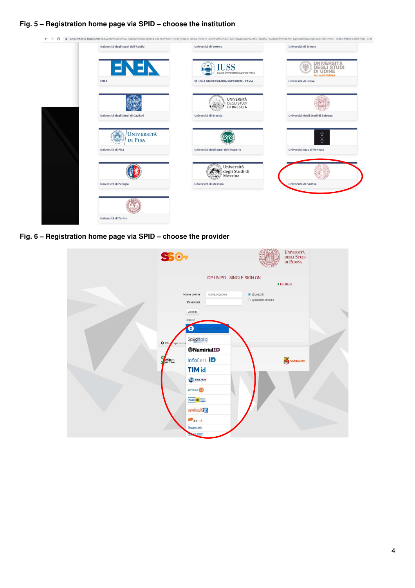## **Fig. 5 – Registration home page via SPID – choose the institution**



**Fig. 6 – Registration home page via SPID – choose the provider** 

| S50 <sub>7</sub>                  | <b>IDP UNIPD - SINGLE SIGN ON</b> |                      | <b>UNIVERSITÀ</b><br>DEGLI STUDI<br>DI PADOVA |  |
|-----------------------------------|-----------------------------------|----------------------|-----------------------------------------------|--|
|                                   |                                   |                      | I I its GB eng                                |  |
| Nome utente                       | nome.cognome                      | · @unipd.it          |                                               |  |
| Password                          |                                   | ○ @studenti.unipd.it |                                               |  |
| Accedi                            |                                   |                      |                                               |  |
| Oppure                            |                                   |                      |                                               |  |
| Ð                                 | <b>From SHID</b>                  |                      |                                               |  |
| Spiditalia<br>O Clicy a qui se ha |                                   |                      |                                               |  |
| <b>@Namirial!D</b>                |                                   |                      |                                               |  |
| InfoCert <b>ID</b><br>de          |                                   |                      | Shibboleth.                                   |  |
| <b>TIM id</b>                     |                                   |                      |                                               |  |
| SIELTE Id                         |                                   |                      |                                               |  |
| intesa <sup>(D</sup>              |                                   |                      |                                               |  |
| Poste ID spid                     |                                   |                      |                                               |  |
| croba.ttp                         |                                   |                      |                                               |  |
| <b>Collep</b> a                   |                                   |                      |                                               |  |
| <b>Maggiori info</b>              |                                   |                      |                                               |  |
| bai SPID?                         |                                   |                      |                                               |  |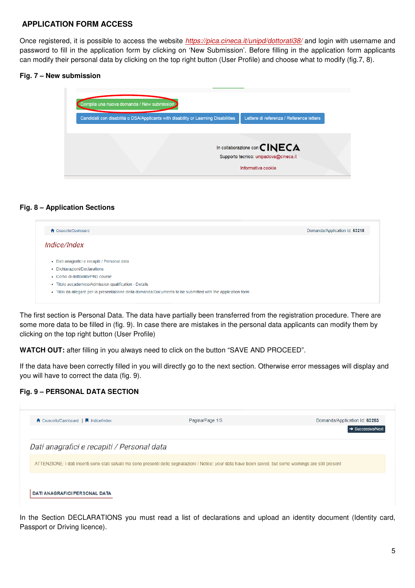# **APPLICATION FORM ACCESS**

Once registered, it is possible to access the website *https://pica.cineca.it/unipd/dottorati38/* and login with username and password to fill in the application form by clicking on 'New Submission'. Before filling in the application form applicants can modify their personal data by clicking on the top right button (User Profile) and choose what to modify (fig.7, 8).

#### **Fig. 7 – New submission**

| Compila una nuova domanda / New submission                                         |                                          |
|------------------------------------------------------------------------------------|------------------------------------------|
| Candidati con disabilità o DSA/Applicants with disability or Learning Disabilities | Lettere di referenza / Reference letters |
|                                                                                    |                                          |
|                                                                                    | In collaborazione con $\mathsf{CINECA}$  |
|                                                                                    | Supporto tecnico: unipadova@cineca.it    |
|                                                                                    | Informativa cookie                       |
|                                                                                    |                                          |

## **Fig. 8 – Application Sections**

| ← Cruscotto/Dashboard                                                                                       | Domanda/Application Id: 63218 |
|-------------------------------------------------------------------------------------------------------------|-------------------------------|
| <i>Indice/Index</i>                                                                                         |                               |
|                                                                                                             |                               |
| • Dati anagrafici e recapiti / Personal data                                                                |                               |
| • Dichiarazioni/Declarations                                                                                |                               |
| • Corso di dottorato/PhD course                                                                             |                               |
| · Titolo accademico/Admission qualification - Details                                                       |                               |
| • Titoli da allegare per la presentazione della domanda/Documents to be submitted with the application form |                               |

The first section is Personal Data. The data have partially been transferred from the registration procedure. There are some more data to be filled in (fig. 9). In case there are mistakes in the personal data applicants can modify them by clicking on the top right button (User Profile)

**WATCH OUT:** after filling in you always need to click on the button "SAVE AND PROCEED".

If the data have been correctly filled in you will directly go to the next section. Otherwise error messages will display and you will have to correct the data (fig. 9).

# **Fig. 9 – PERSONAL DATA SECTION**



In the Section DECLARATIONS you must read a list of declarations and upload an identity document (Identity card, Passport or Driving licence).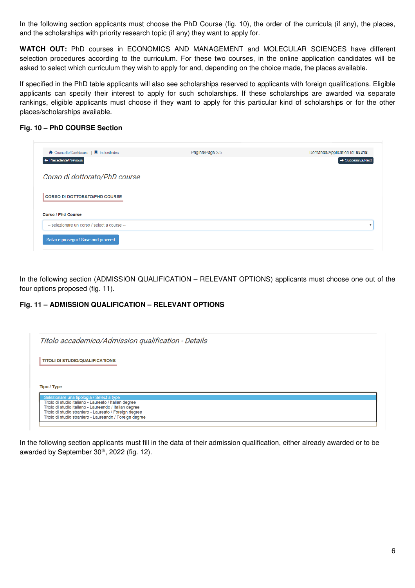In the following section applicants must choose the PhD Course (fig. 10), the order of the curricula (if any), the places, and the scholarships with priority research topic (if any) they want to apply for.

**WATCH OUT:** PhD courses in ECONOMICS AND MANAGEMENT and MOLECULAR SCIENCES have different selection procedures according to the curriculum. For these two courses, in the online application candidates will be asked to select which curriculum they wish to apply for and, depending on the choice made, the places available.

If specified in the PhD table applicants will also see scholarships reserved to applicants with foreign qualifications. Eligible applicants can specify their interest to apply for such scholarships. If these scholarships are awarded via separate rankings, eligible applicants must choose if they want to apply for this particular kind of scholarships or for the other places/scholarships available.

## **Fig. 10 – PhD COURSE Section**

| ↑ Cruscotto/Dashboard   ■ Indice/Index | Pagina/Page 3/5 | Domanda/Application Id: 63218 |
|----------------------------------------|-----------------|-------------------------------|
| + Precedente/Previous                  |                 | $\rightarrow$ Successiva/Next |
| Corso di dottorato/PhD course          |                 |                               |
|                                        |                 |                               |
| <b>CORSO DI DOTTORATO/PHD COURSE</b>   |                 |                               |
|                                        |                 |                               |
| <b>Corso / Phd Course</b>              |                 |                               |

In the following section (ADMISSION QUALIFICATION – RELEVANT OPTIONS) applicants must choose one out of the four options proposed (fig. 11).

# **Fig. 11 – ADMISSION QUALIFICATION – RELEVANT OPTIONS**

| Titolo accademico/Admission qualification - Details                                                                                                                                                                    |  |  |  |
|------------------------------------------------------------------------------------------------------------------------------------------------------------------------------------------------------------------------|--|--|--|
| <b>TITOLI DI STUDIO/QUALIFICATIONS</b>                                                                                                                                                                                 |  |  |  |
|                                                                                                                                                                                                                        |  |  |  |
|                                                                                                                                                                                                                        |  |  |  |
| Tipo / Type                                                                                                                                                                                                            |  |  |  |
| Selezionare una tipologia / Select a type<br>Titolo di studio italiano - Laureato / Italian degree<br>Titolo di studio italiano - Laureando / Italian degree<br>Titolo di studio straniero - Laureato / Foreign degree |  |  |  |

In the following section applicants must fill in the data of their admission qualification, either already awarded or to be awarded by September 30<sup>th</sup>, 2022 (fig. 12).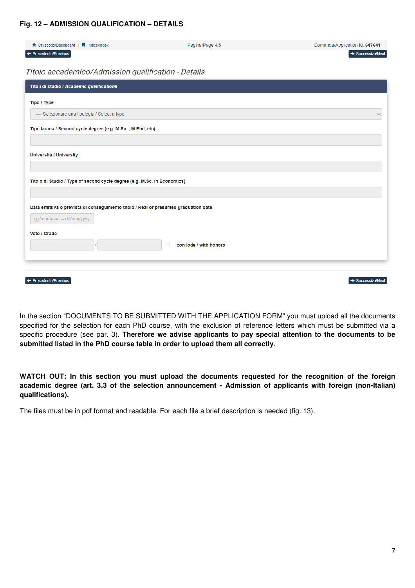#### **Fig. 12 – ADMISSION QUALIFICATION – DETAILS**

| ← Cruscotto/Dashboard   ■ Indice/Index                                               | Pagina/Page 4/5             | Domanda/Application Id: 647641 |
|--------------------------------------------------------------------------------------|-----------------------------|--------------------------------|
| ← Precedente/Previous                                                                |                             | $\rightarrow$ Successiva/Next  |
| Titolo accademico/Admission qualification - Details                                  |                             |                                |
| Titoli di studio / Academic qualifications                                           |                             |                                |
| Tipo / Type                                                                          |                             |                                |
| ---- Selezionare una tipologia / Select a type                                       |                             | $\checkmark$                   |
| Tipo laurea / Second cycle degree (e.g. M.Sc., M.Phil, etc)                          |                             |                                |
|                                                                                      |                             |                                |
| Università / University                                                              |                             |                                |
|                                                                                      |                             |                                |
| Titolo di Studio / Type of second cycle degree (e.g. M.Sc. in Economics)             |                             |                                |
|                                                                                      |                             |                                |
| Data effettiva o prevista di conseguimento titolo / Real or presumed graduation date |                             |                                |
| gg/mm/aaaa -- dd/mm/yyyy                                                             |                             |                                |
| Voto / Grade                                                                         |                             |                                |
|                                                                                      | □<br>con lode / with honors |                                |
|                                                                                      |                             |                                |
|                                                                                      |                             |                                |
| ← Precedente/Previous                                                                |                             | $\rightarrow$ Successiva/Next  |

In the section "DOCUMENTS TO BE SUBMITTED WITH THE APPLICATION FORM" you must upload all the documents specified for the selection for each PhD course, with the exclusion of reference letters which must be submitted via a specific procedure (see par. 3). **Therefore we advise applicants to pay special attention to the documents to be submitted listed in the PhD course table in order to upload them all correctly**.

**WATCH OUT: In this section you must upload the documents requested for the recognition of the foreign academic degree (art. 3.3 of the selection announcement - Admission of applicants with foreign (non-Italian) qualifications).** 

The files must be in pdf format and readable. For each file a brief description is needed (fig. 13).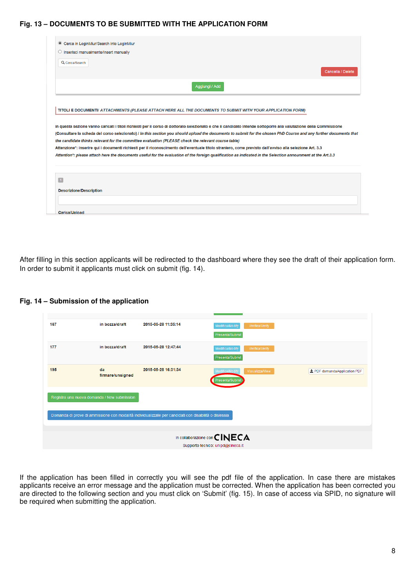#### **Fig. 13 – DOCUMENTS TO BE SUBMITTED WITH THE APPLICATION FORM**

| O Inserisci manualmente/Insert manually     |                                                                                                                                                                                                                                                                                                                         |
|---------------------------------------------|-------------------------------------------------------------------------------------------------------------------------------------------------------------------------------------------------------------------------------------------------------------------------------------------------------------------------|
| Q Cerca/Search                              |                                                                                                                                                                                                                                                                                                                         |
|                                             | Cancella / Delete                                                                                                                                                                                                                                                                                                       |
|                                             | Aqqiunqi / Add                                                                                                                                                                                                                                                                                                          |
|                                             |                                                                                                                                                                                                                                                                                                                         |
|                                             | TITOLI E DOCUMENTI/ ATTACHMENTS (PLEASE ATTACH HERE ALL THE DOCUMENTS TO SUBMIT WITH YOUR APPLICATION FORM)                                                                                                                                                                                                             |
|                                             |                                                                                                                                                                                                                                                                                                                         |
|                                             | In questa sezione vanno caricati i titoli richiesti per il corso di dottorato selezionato e che il candidato intende sottoporre alla valutazione della Commissione                                                                                                                                                      |
|                                             | the candidate thinks relevant for the committee evaluation (PLEASE check the relevant course table)                                                                                                                                                                                                                     |
|                                             | Attenzione*: inserire qui i documenti richiesti per il riconoscimento dell'eventuale titolo straniero, come previsto dall'avviso alla selezione Art. 3.3<br>Attention*: please attach here the documents useful for the evaluation of the foreign qualification as indicated in the Selection announment at the Art.3.3 |
|                                             |                                                                                                                                                                                                                                                                                                                         |
|                                             |                                                                                                                                                                                                                                                                                                                         |
|                                             |                                                                                                                                                                                                                                                                                                                         |
| $\vert$ 1<br><b>Descrizione/Description</b> | (Consultare la scheda del corso selezionato) / In this section you should upload the documents to submit for the chosen PhD Course and any further documents that                                                                                                                                                       |

After filling in this section applicants will be redirected to the dashboard where they see the draft of their application form. In order to submit it applicants must click on submit (fig. 14).

**Fig. 14 – Submission of the application** 

| 167 | in bozza/draft                              | 2015-05-28 11:35:14                                                                                   | Modifica/Modify<br>Verifica/Verify<br>Presenta/Submit                        |                               |
|-----|---------------------------------------------|-------------------------------------------------------------------------------------------------------|------------------------------------------------------------------------------|-------------------------------|
| 177 | in bozza/draft                              | 2015-05-28 12:47:44                                                                                   | Modifica/Modify<br>Verifica/Verify<br>Presenta/Submit                        |                               |
| 195 | da<br>firmare/unsigned                      | 2015-05-28 16:31:34                                                                                   | Modifica/Modify<br>Visualizza/View<br>Presenta/Submit                        | ± PDF domanda/Application PDF |
|     | Registra una nuova domanda / New submission |                                                                                                       |                                                                              |                               |
|     |                                             | Domanda di prove di ammissione con modalità individualizzate per candidati con disabilità o dislessia |                                                                              |                               |
|     |                                             |                                                                                                       |                                                                              |                               |
|     |                                             |                                                                                                       | In collaborazione con $\mathsf{CINECA}$<br>Supporto tecnico: unipd@cineca.it |                               |
|     |                                             |                                                                                                       |                                                                              |                               |

If the application has been filled in correctly you will see the pdf file of the application. In case there are mistakes applicants receive an error message and the application must be corrected. When the application has been corrected you are directed to the following section and you must click on 'Submit' (fig. 15). In case of access via SPID, no signature will be required when submitting the application.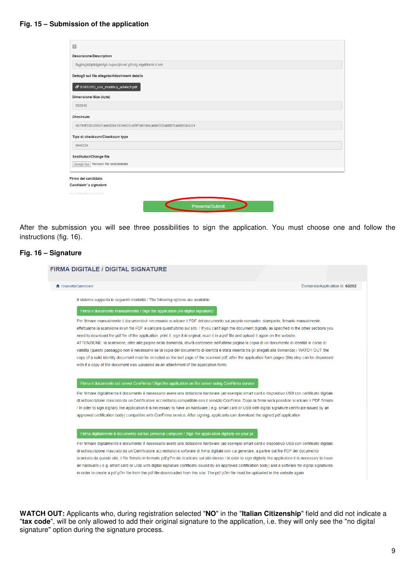#### **Fig. 15 – Submission of the application**

| <b>Descrizione/Description</b>                                   |  |  |  |
|------------------------------------------------------------------|--|--|--|
| fhgjhkjljklòjhtdghnfgb bvjurstjhnxd gfhntg etgdhbnfd d teh       |  |  |  |
| Dettagli sul file allegato/Attachment details                    |  |  |  |
| STATUTO_con_modifica_art46c9.pdf                                 |  |  |  |
| Dimensione/Size (byte)                                           |  |  |  |
| 582816                                                           |  |  |  |
| Checksum                                                         |  |  |  |
| 46794f3385d9631ae8d5bc367eb05caf9f1a91e8cade830ba9007ce0d90a5c04 |  |  |  |
| Tipo di checksum/Checksum type                                   |  |  |  |
| <b>SHA256</b>                                                    |  |  |  |
| Sostituisci/Change file                                          |  |  |  |
| Scegli file   Nessun file selezionato                            |  |  |  |
| Firma del candidato                                              |  |  |  |
| Candidate's signature                                            |  |  |  |
|                                                                  |  |  |  |
|                                                                  |  |  |  |

After the submission you will see three possibilities to sign the application. You must choose one and follow the instructions (fig. 16).

#### **Fig. 16 – Signature**

<u> Terminal de la compagnie de la compagnie de la compagnie de la compagnie de la compagnie de la compagnie de l</u>

| ← Cruscotto/Dashboard                                                                                                                                       | Domanda/Application Id: 63262 |  |  |
|-------------------------------------------------------------------------------------------------------------------------------------------------------------|-------------------------------|--|--|
| Il sistema supporta le sequenti modalità / The following options are available:                                                                             |                               |  |  |
| Firma il documento manualmente / Sign the application (no digital signature)                                                                                |                               |  |  |
| Per firmare manualmente il documento è necessario scaricare il PDF del documento sul proprio computer, stamparlo, firmarlo manualmente,                     |                               |  |  |
| effettuarne la scansione in un file PDF e caricare quest'ultimo sul sito. / If you can't sign the document digitally as specified in the other sections you |                               |  |  |
| need to download the pdf file of the application, print it, sign it in orginal, scan it in a pdf file and upload it again on the website.                   |                               |  |  |
| ATTENZIONE: la scansione, oltre alle pagine della domanda, dovrà contenere nell'ultima pagina la copia di un documento di identità in corso di              |                               |  |  |
| validità (questo passaggio non è necessario se la copia del documento di identità è stata inserita tra gli allegati alla domanda) / WATCH OUT: the          |                               |  |  |
| copy of a valid identity document must be included as the last page of the scanned pdf, after the application form pages (this step can be dispensed        |                               |  |  |
| with if a copy of the document was uploaded as an attachment of the application form)                                                                       |                               |  |  |
|                                                                                                                                                             |                               |  |  |
| Firma il documento sul server ConFirma / Sign the application on the server using ConFirma service                                                          |                               |  |  |
| Per firmare digitalmente il documento è necessario avere una dotazione hardware (ad esempio smart card o dispositivo USB con certificato digitale           |                               |  |  |
| di sottoscrizione rilasciato da un Certificatore accreditato) compatibile con il servizio ConFirma. Dopo la firma sarà possibile scaricare il PDF firmato   |                               |  |  |
| / In oder to sign digitally the application it is necessary to have an hardware (e.g. smart card or USB with digital signature certificate issued by an     |                               |  |  |
| approved certification body) compatible with ConFirma service. After signing, applicants can download the signed pdf application                            |                               |  |  |
| Firma digitalmente il documento sul tuo personal computer / Sign the application digitally on your pc                                                       |                               |  |  |
| Per firmare digitalmente il documento è necessario avere una dotazione hardware (ad esempio smart card o dispositivo USB con certificato digitale           |                               |  |  |
| di sottoscrizione rilasciato da un Certificatore accreditato) e software di firma digitale con cui generare, a partire dal file PDF del documento           |                               |  |  |
|                                                                                                                                                             |                               |  |  |

**WATCH OUT:** Applicants who, during registration selected "**NO**" in the "**Italian Citizenship**" field and did not indicate a "**tax code**", will be only allowed to add their original signature to the application, i.e. they will only see the "no digital signature" option during the signature process.